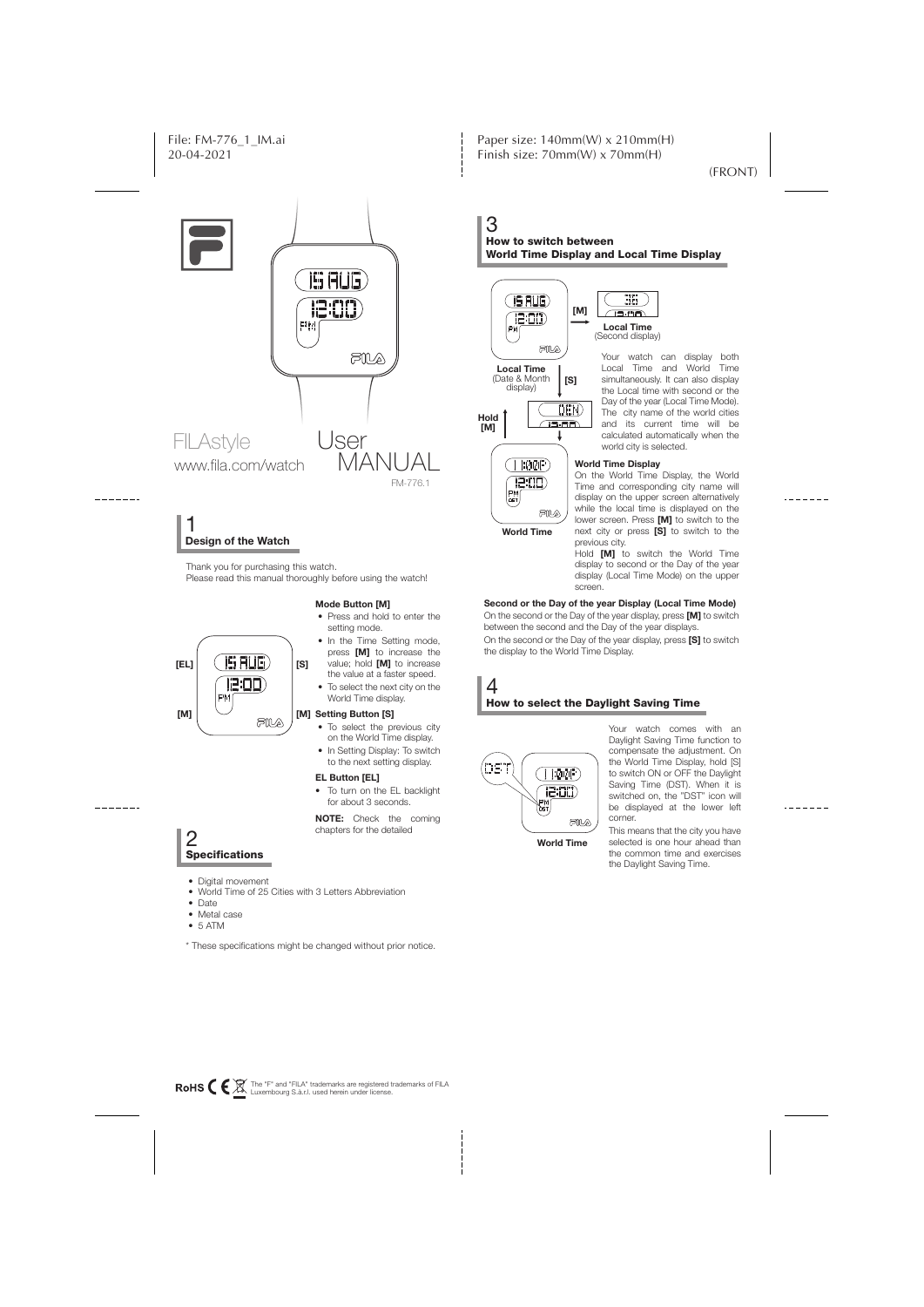



# **Design of the Watch** 1

Thank you for purchasing this watch. Please read this manual thoroughly before using the watch!

#### **Mode Button [M]**



- Press and hold to enter the setting mode. • In the Time Setting mode,
- press **[M]** to increase the value; hold **[M]** to increase the value at a faster speed.
- To select the next city on the World Time display.

#### [M] Setting Button [S]

- To select the previous city on the World Time display.
- In Setting Display: To switch to the next setting display.

#### **EL Button [EL]**

• To turn on the EL backlight for about 3 seconds.

**NOTE:** Check the coming chapters for the detailed

### How to switch between 3 World Time Display and Local Time Display





Your watch can display both Local Time and World Time simultaneously. It can also display the Local time with second or the Day of the year (Local Time Mode). The city name of the world cities and its current time will be calculated automatically when the world city is selected.

#### **World Time Display**

On the World Time Display, the World Time and corresponding city name will display on the upper screen alternatively while the local time is displayed on the lower screen. Press **[M]** to switch to the next city or press **[S]** to switch to the previous city.

Hold **[M]** to switch the World Time display to second or the Day of the year display (Local Time Mode) on the upper screen.

#### **Second or the Day of the year Display (Local Time Mode)**

On the second or the Day of the year display, press **[M]** to switch between the second and the Day of the year displays.

On the second or the Day of the year display, press **[S]** to switch the display to the World Time Display.

#### How to select the Daylight Saving Time 4



Your watch comes with an Daylight Saving Time function to compensate the adjustment. On the World Time Display, hold [S] to switch ON or OFF the Daylight Saving Time (DST). When it is switched on, the "DST" icon will be displayed at the lower left corner.

This means that the city you have selected is one hour ahead than the common time and exercises the Daylight Saving Time.

2<br>Specifications

- Digital movement
- World Time of 25 Cities with 3 Letters Abbreviation
- Date
- Metal case
- 5 ATM
- \* These specifications might be changed without prior notice.